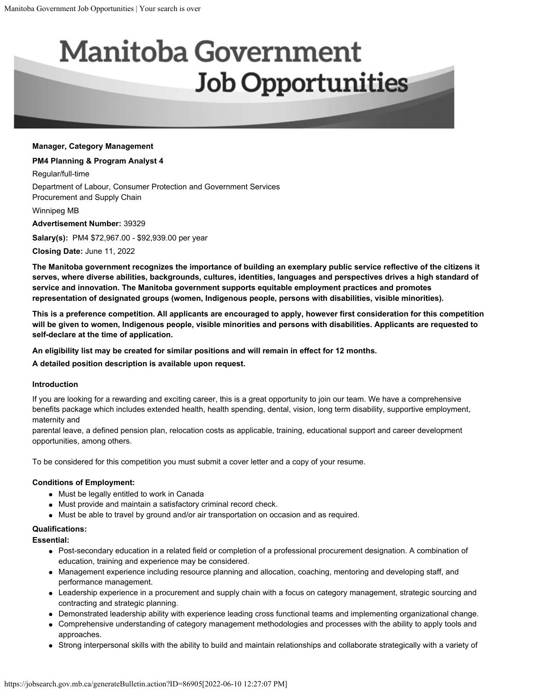# **Manitoba Government Job Opportunities**

#### **Manager, Category Management**

#### **PM4 Planning & Program Analyst 4**

Regular/full-time

Department of Labour, Consumer Protection and Government Services Procurement and Supply Chain

Winnipeg MB

**Advertisement Number:** 39329

**Salary(s):** PM4 \$72,967.00 - \$92,939.00 per year

**Closing Date:** June 11, 2022

**The Manitoba government recognizes the importance of building an exemplary public service reflective of the citizens it serves, where diverse abilities, backgrounds, cultures, identities, languages and perspectives drives a high standard of service and innovation. The Manitoba government supports equitable employment practices and promotes representation of designated groups (women, Indigenous people, persons with disabilities, visible minorities).**

**This is a preference competition. All applicants are encouraged to apply, however first consideration for this competition will be given to women, Indigenous people, visible minorities and persons with disabilities. Applicants are requested to self-declare at the time of application.**

**An eligibility list may be created for similar positions and will remain in effect for 12 months.**

**A detailed position description is available upon request.** 

#### **Introduction**

If you are looking for a rewarding and exciting career, this is a great opportunity to join our team. We have a comprehensive benefits package which includes extended health, health spending, dental, vision, long term disability, supportive employment, maternity and

parental leave, a defined pension plan, relocation costs as applicable, training, educational support and career development opportunities, among others.

To be considered for this competition you must submit a cover letter and a copy of your resume.

# **Conditions of Employment:**

- Must be legally entitled to work in Canada
- Must provide and maintain a satisfactory criminal record check.
- Must be able to travel by ground and/or air transportation on occasion and as required.

# **Qualifications:**

**Essential:**

- Post-secondary education in a related field or completion of a professional procurement designation. A combination of education, training and experience may be considered.
- Management experience including resource planning and allocation, coaching, mentoring and developing staff, and performance management.
- Leadership experience in a procurement and supply chain with a focus on category management, strategic sourcing and contracting and strategic planning.
- Demonstrated leadership ability with experience leading cross functional teams and implementing organizational change.
- Comprehensive understanding of category management methodologies and processes with the ability to apply tools and approaches.
- Strong interpersonal skills with the ability to build and maintain relationships and collaborate strategically with a variety of